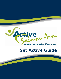

# **Get Active Guide**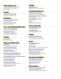# **Active Salmon Arm**

Virtual walk/community park maps www.salmonarmrecreation.ca 250-832-4044

## **Archery**

**Salmon Arm Archery Club** Vern Stevens 250-832-0205

## **Badminton**

**Salmon Arm Badminton Club** Tim 250-804-7908

**SASCU Recreation Centre** Donna 250-832-4044

# **Ball – Baseball/Softball/Slo-pitch**

**Salmon Arm Minor Baseball** www.salmonarmbaseball.com

**Salmon Arm Slo-pitch** info@salmonarmslopitch.com www.salmonarmslopitch.com

#### **Beaches**

**Canoe Beach** 7720 36th Street NE

# **Biking and Hiking Trails**

**Coyote Park**  54th Ave NE and 60th Ave NE

**Larch Hills Nordic Ski Area** End of Edgar Rd at Larch Hills

**Little Mountain Park**  Okanagan Ave just off 30 St SE

**Road/Mountain Biking/Hiking Trails** www.shuswaptrails.com/offroad.htm

**Salmon Arm Bike For Your Life Century Ride** www.bikeforyourlife.com

**Shuswap Cycling Club** www.shuswapbike.com

**Skookum Cycle Program** 141 Shuswap St NE • 250-832-7368

**South Canoe Trail System** 10th Ave & 70 St SE

#### **Bowling**

**Lakeside Bowling** 1880 9th Ave NE • 250-832-3946

# **Cadets/Guides/Scouts**

**Girl Guides of Salmon Arm** 250-832-7280 • www.girlguides.ca

**Rocky Mountain Rangers and Cadets** 1-800-856-8488

**Royal Canadian Air Cadets** 250-833-0222

**Scouts** Diane Boxall 778-489-0088

# **Cross Country Ski**

**Larch Hills Nordic Society** www.skilarchhills.ca

**Larch Hills Ski Area** End of Edgar Rd in Larch Hills

## **Curling**

**Salmon Arm Curling Club** 691 28th St NE • 250-832-8700 www.salmonarmcurlingclub.com

#### **Dance**

**Jamila Mai Bellydance** 250-833-1915

**Just For Kicks** Patty 250-675-2121 • Margo 250-832-9469

**Salmon Arm Square Dance Club** Bernie/Sheila • bernond@live.ca

**Shuswap Dance Centre** 590 Okanagan Ave SE • 250-833-5418 www.shuswapdance.com

#### **Equestrian Trail Riding**

**Larch Hills Nordic Ski Area** End of Edgar Rd at Larch Hills

**South Canoe Trail Syste**m 10th Ave & 70 St SE

# **Fish and Game**

**Salmon Arm Fish and Game Club** Ron Pederson 250-832-3431 www.salmonarmfishandgameclub.com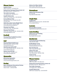# **Fitness Centres**

**Anytime Fitness** 2890 10 Ave NE • (778) 489-5323

**Harbourfront Tanning & Fitness Center Ltd** 681 Marine Park Dr • 250-832-5177

**The Cardio Connection** 101 Hudson Ave • 250-833-2717

**CrossFit Salmon Arm** 2400 Trans-Canada Hwy • 250-540-8781

**Curves (Women Only)** Suite 400-251 Trans-Canada Hwy NW 250-804-0644

**SASCU Recreation Centre Weight Room** 2550 10th Ave NE • 250-832-4044 www.salmonarmrecreation.ca

**Shuswap Core Pilates** 2-661 Ross St NE • 250-804-0393

**Shuswap Total Fitness** 2450 Trans-Canada Hwy NE • 250-833-4799 shuswaptotalfitness.com

# **Football**

**Shuswap Minor Football Association** www.shuswapfootball.com

#### **Golf**

**Shuswap National Golf Course** 6360 Auto Rd SE • 250-832-3285 shuswapnational.com

**Club Shuswap Golf and RV** 5751 Trans Canada Hwy NE • 250-832-7345 www.clubshuswap.com

**Salmon Arm Golf Club** 3641 Hwy 97B • 250-832-4727 www.salmonarmgolf.com

# **Gymnastics**

**Momentum Gymnastics** Shawnee 250-804-0602 www.momentumgymnastics.com

# **Hockey**

**Men's and Women's Recreational Hockey** Various skill levels and ages Shaw Centre • 250-832-4044

**Salmon Arm Minor Hockey** Shaw Centre, 2600 10th Ave www.salmonarmminorhockey.com

#### **Horseshoes**

**Salmon Arm Horseshoe Club** 691 28 St NE Amy Kidd 250-803-0420

# **Jungle Gym**

**Junglemania** 2450 Trans-Canada Hwy NE • 250-803-0300 www.junglemania.ca

# **Lacrosse**

**Shuswap Minor Lacrosse** registrar@shuswapminorlacrosse.com

# **Lawn Bowling**

**Salmon Arm Lawn Bowling** 691 28 Street NE Dan Quilty 250-253-0873

# **Martial Arts**

**Community Karate & Kickboxing** Holly 250-253-2406

**Double Winds T'ai Chi** Kim and Heather Arnold 250-832-8229/250-515-1476

**Kees Tae Kwon Do** Tyler Irving 250-833-0661

**Salmon Arm Judo** Rich Mori 250-832-3945 Sean Weisenborn 250-832-7406

**Taoist T'ai Chi** Jim Clarke 250-832-9038

# **Fitness Centres**

**Anytime Fitness** 2890 10 Ave NE • (778) 489-5323

**Harbourfront Tanning & Fitness Center Ltd** 681 Marine Park Dr • 250-832-5177

**The Cardio Connection** 101 Hudson Ave • 250-833-2717

**CrossFit Salmon Arm** 2400 Trans-Canada Hwy • 250-540-8781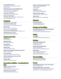**Curves (Women Only)** Suite 400-251 Trans-Canada Hwy NW 250-804-0644

**SASCU Recreation Centre Weight Room** 2550 10th Ave NE • 250-832-4044 www.salmonarmrecreation.ca

**Shuswap Core Pilates** 2-661 Ross St NE • 250-804-0393

**Shuswap Total Fitness** 2450 Trans-Canada Hwy NE • 250-833-4799 shuswaptotalfitness.com

# **Pickleball**

**Club Shuswap Golf and RV** 5751 Trans Canada Hwy NE 250-832-7345 • www.clubshuswap.com

**Klahani Park** 6391 10 Ave SE • free facilities

**Salmon Arm Pickleball Club** www.salmonarmpickleballclub.wordpress.com

**SASCU Recreation Centre** 2550 10 Ave NE • 250-832-4044

## **Playground Parks**

**Badger Park** 1611 20th Ave SE

**Blackburn Park** 681 10th Avenue SW

**Canoe Beach** 7720 36th Street NE

**Klahani Park** 10 Ave SE (South Canoe)

**Fletcher Park Playground & Water Spray Park** 450 2nd Avenue NE

**John Lund Park** Access from 70th Ave NE in Canoe

**SASCU Little Mountain Sports Field** 250 30th Street SE

**William Baker** 4290 Canoe Beach Drive NE

# **Recreation Facilities—Location/Book-**

#### **ings**

**Salmon Arm Fairgrounds** 490 5th Ave SW 250-833-4096 • safallfair@shaw.ca

**SASCU Recreation Centre** 2550 10 Ave NE • 250-832-4044 **Salmon Arm Waterslides & RV Park** 1001 Trans Canada Hwy SW 250-832-4386

**Scout Hall**  2460 Auto Road SE Dianne Boxall 778-489-0088

**Seniors Activity Centre**  170-5th Ave. SE • 250-832-1065

**Shaw Centre** 2600 10th Ave NE • 250-832-4044

# **Ringette**

**Shuswap Ringette** erinhawrys@hotmail.com www.shuswapringette.ca

# **Rowing and Paddling**

**Shuswap Association for Rowing/Paddling** Canoe Beach Boat Launch www.shuswaprowingandpaddling.com

# **Rugby**

**Yeti Rugby** Jeff Miller jeffmiller506@hotmail.com

# **Skating**

**Salmon Arm Skating Club** Crystal 250-575-8411 saskatingclub.com

#### **Salmon Arm Speed Skating** Crystal 250-833-4377

info@salmonarmspeedskating.com

**Shaw Centre** (Public Skating/Adult Shinny/ Learn to Skate Program) 2600 10th Ave NE • 250-832-4044

# **Snowmobiling**

**Salmon Arm Snow Blazers**  Don Mitchell 250-675-2420

# **Soccer**

**Shuswap Women's Rec. Soccer Association** swrsa.info@gmail.com

**Shuswap Youth Soccer Association** (Located at the SASCU Indoor SportsComplex) 250-833-5607 • www.shuswapsoccer.com